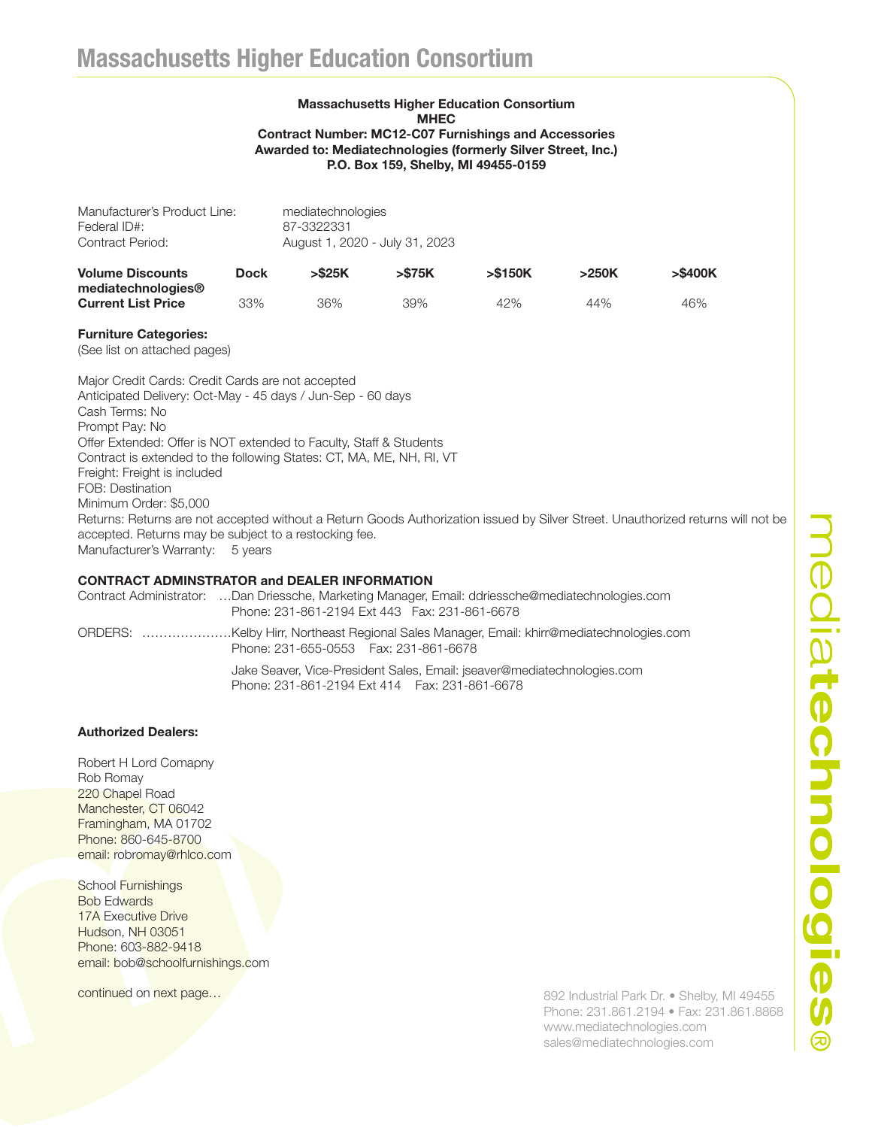### Massachusetts Higher Education Consortium MHEC Contract Number: MC12-C07 Furnishings and Accessories Awarded to: Mediatechnologies (formerly Silver Street, Inc.) P.O. Box 159, Shelby, MI 49455-0159

| Manufacturer's Product Line:<br>Federal ID#:<br>Contract Period: |             | mediatechnologies<br>87-3322331<br>August 1, 2020 - July 31, 2023 |         |            |       |            |
|------------------------------------------------------------------|-------------|-------------------------------------------------------------------|---------|------------|-------|------------|
| <b>Volume Discounts</b><br>mediatechnologies <sup>®</sup>        | <b>Dock</b> | > \$25K                                                           | > \$75K | $>$ \$150K | >250K | $>$ \$400K |
| <b>Current List Price</b>                                        | 33%         | 36%                                                               | 39%     | 42%        | 44%   | 46%        |

#### Furniture Categories:

(See list on attached pages)

Major Credit Cards: Credit Cards are not accepted Anticipated Delivery: Oct-May - 45 days / Jun-Sep - 60 days Cash Terms: No Prompt Pay: No Offer Extended: Offer is NOT extended to Faculty, Staff & Students Contract is extended to the following States: CT, MA, ME, NH, RI, VT Freight: Freight is included FOB: Destination Minimum Order: \$5,000 Returns: Returns are not accepted without a Return Goods Authorization issued by Silver Street. Unauthorized returns will not be accepted. Returns may be subject to a restocking fee. Manufacturer's Warranty: 5 years

# CONTRACT ADMINSTRATOR and DEALER INFORMATION

Contract Administrator: …Dan Driessche, Marketing Manager, Email: ddriessche@mediatechnologies.com Phone: 231-861-2194 Ext 443 Fax: 231-861-6678 ORDERS: …………………Kelby Hirr, Northeast Regional Sales Manager, Email: khirr@mediatechnologies.com Phone: 231-655-0553 Fax: 231-861-6678 Jake Seaver, Vice-President Sales, Email: jseaver@mediatechnologies.com Phone: 231-861-2194 Ext 414 Fax: 231-861-6678

## Authorized Dealers:

Robert H Lord Comapny Rob Romay 220 Chapel Road Manchester, CT 06042 Framingham, MA 01702 Phone: 860-645-8700 email: robromay@rhlco.com

School Furnishings Bob Edwards 17A Executive Drive Hudson, NH 03051 Phone: 603-882-9418 email: bob@schoolfurnishings.com

continued on next page...

892 Industrial Park Dr. • Shelby, MI 49455 Phone: 231.861.2194 • Fax: 231.861.8868 www.mediatechnologies.com sales@mediatechnologies.com